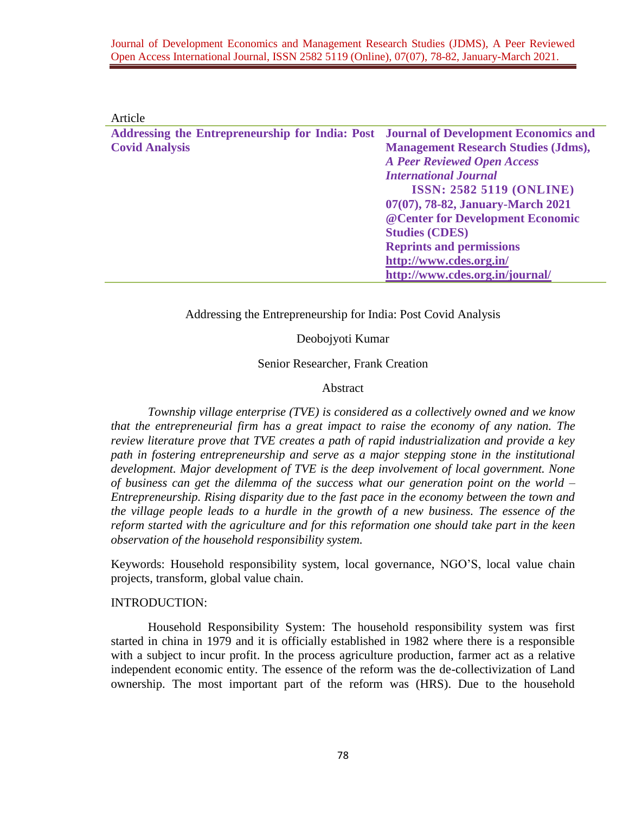| Article                                                |                                             |
|--------------------------------------------------------|---------------------------------------------|
| <b>Addressing the Entrepreneurship for India: Post</b> | <b>Journal of Development Economics and</b> |
| <b>Covid Analysis</b>                                  | <b>Management Research Studies (Jdms),</b>  |
|                                                        | <b>A Peer Reviewed Open Access</b>          |
|                                                        | <b>International Journal</b>                |
|                                                        | <b>ISSN: 2582 5119 (ONLINE)</b>             |
|                                                        | 07(07), 78-82, January-March 2021           |
|                                                        | @ Center for Development Economic           |
|                                                        | <b>Studies (CDES)</b>                       |
|                                                        | <b>Reprints and permissions</b>             |
|                                                        | http://www.cdes.org.in/                     |
|                                                        | http://www.cdes.org.in/journal/             |
|                                                        |                                             |

Addressing the Entrepreneurship for India: Post Covid Analysis

Deobojyoti Kumar

Senior Researcher, Frank Creation

#### Abstract

*Township village enterprise (TVE) is considered as a collectively owned and we know that the entrepreneurial firm has a great impact to raise the economy of any nation. The review literature prove that TVE creates a path of rapid industrialization and provide a key path in fostering entrepreneurship and serve as a major stepping stone in the institutional development. Major development of TVE is the deep involvement of local government. None of business can get the dilemma of the success what our generation point on the world – Entrepreneurship. Rising disparity due to the fast pace in the economy between the town and the village people leads to a hurdle in the growth of a new business. The essence of the reform started with the agriculture and for this reformation one should take part in the keen observation of the household responsibility system.* 

Keywords: Household responsibility system, local governance, NGO'S, local value chain projects, transform, global value chain.

### INTRODUCTION:

Household Responsibility System: The household responsibility system was first started in china in 1979 and it is officially established in 1982 where there is a responsible with a subject to incur profit. In the process agriculture production, farmer act as a relative independent economic entity. The essence of the reform was the de-collectivization of Land ownership. The most important part of the reform was (HRS). Due to the household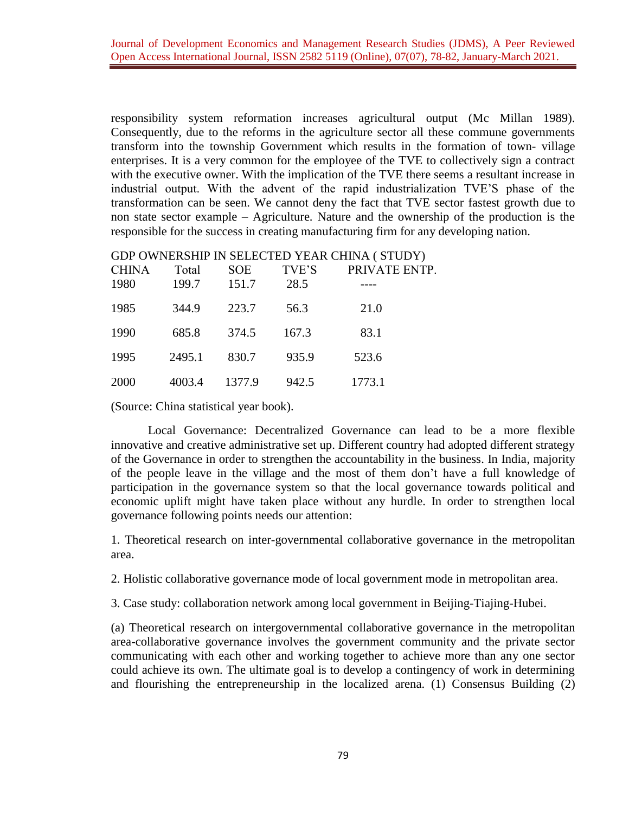responsibility system reformation increases agricultural output (Mc Millan 1989). Consequently, due to the reforms in the agriculture sector all these commune governments transform into the township Government which results in the formation of town- village enterprises. It is a very common for the employee of the TVE to collectively sign a contract with the executive owner. With the implication of the TVE there seems a resultant increase in industrial output. With the advent of the rapid industrialization TVE'S phase of the transformation can be seen. We cannot deny the fact that TVE sector fastest growth due to non state sector example – Agriculture. Nature and the ownership of the production is the responsible for the success in creating manufacturing firm for any developing nation.

| <b>CHINA</b> | Total  | <b>SOE</b> | TVE'S | PRIVATE ENTP. |
|--------------|--------|------------|-------|---------------|
| 1980         | 199.7  | 151.7      | 28.5  |               |
| 1985         | 344.9  | 223.7      | 56.3  | 21.0          |
| 1990         | 685.8  | 374.5      | 167.3 | 83.1          |
| 1995         | 2495.1 | 830.7      | 935.9 | 523.6         |
| 2000         | 4003.4 | 1377.9     | 942.5 | 1773.1        |

## GDP OWNERSHIP IN SELECTED YEAR CHINA ( STUDY)

(Source: China statistical year book).

Local Governance: Decentralized Governance can lead to be a more flexible innovative and creative administrative set up. Different country had adopted different strategy of the Governance in order to strengthen the accountability in the business. In India, majority of the people leave in the village and the most of them don't have a full knowledge of participation in the governance system so that the local governance towards political and economic uplift might have taken place without any hurdle. In order to strengthen local governance following points needs our attention:

1. Theoretical research on inter-governmental collaborative governance in the metropolitan area.

2. Holistic collaborative governance mode of local government mode in metropolitan area.

3. Case study: collaboration network among local government in Beijing-Tiajing-Hubei.

(a) Theoretical research on intergovernmental collaborative governance in the metropolitan area-collaborative governance involves the government community and the private sector communicating with each other and working together to achieve more than any one sector could achieve its own. The ultimate goal is to develop a contingency of work in determining and flourishing the entrepreneurship in the localized arena. (1) Consensus Building (2)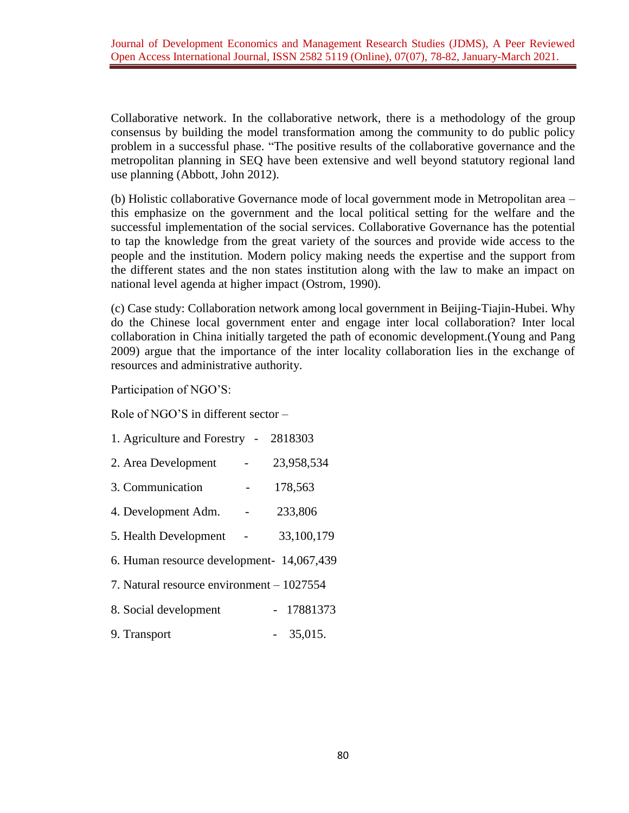Collaborative network. In the collaborative network, there is a methodology of the group consensus by building the model transformation among the community to do public policy problem in a successful phase. "The positive results of the collaborative governance and the metropolitan planning in SEQ have been extensive and well beyond statutory regional land use planning (Abbott, John 2012).

(b) Holistic collaborative Governance mode of local government mode in Metropolitan area – this emphasize on the government and the local political setting for the welfare and the successful implementation of the social services. Collaborative Governance has the potential to tap the knowledge from the great variety of the sources and provide wide access to the people and the institution. Modern policy making needs the expertise and the support from the different states and the non states institution along with the law to make an impact on national level agenda at higher impact (Ostrom, 1990).

(c) Case study: Collaboration network among local government in Beijing-Tiajin-Hubei. Why do the Chinese local government enter and engage inter local collaboration? Inter local collaboration in China initially targeted the path of economic development.(Young and Pang 2009) argue that the importance of the inter locality collaboration lies in the exchange of resources and administrative authority.

Participation of NGO'S:

Role of NGO'S in different sector –

| 1. Agriculture and Forestry - 2818303     |  |            |  |  |  |  |
|-------------------------------------------|--|------------|--|--|--|--|
| 2. Area Development                       |  | 23,958,534 |  |  |  |  |
| 3. Communication                          |  | 178,563    |  |  |  |  |
| 4. Development Adm.                       |  | 233,806    |  |  |  |  |
| 5. Health Development                     |  | 33,100,179 |  |  |  |  |
| 6. Human resource development- 14,067,439 |  |            |  |  |  |  |
| 7. Natural resource environment – 1027554 |  |            |  |  |  |  |
| 8. Social development                     |  | - 17881373 |  |  |  |  |
| 9. Transport                              |  | $-35,015.$ |  |  |  |  |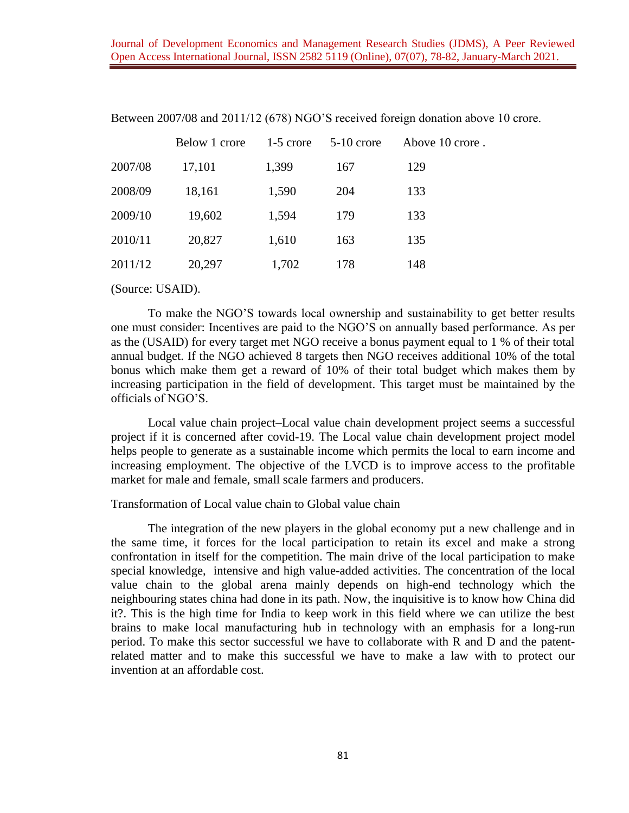|         | Below 1 crore | $1-5$ crore | $5-10$ crore | Above 10 crore. |
|---------|---------------|-------------|--------------|-----------------|
| 2007/08 | 17,101        | 1,399       | 167          | 129             |
| 2008/09 | 18,161        | 1,590       | 204          | 133             |
| 2009/10 | 19,602        | 1,594       | 179          | 133             |
| 2010/11 | 20,827        | 1,610       | 163          | 135             |
| 2011/12 | 20,297        | 1,702       | 178          | 148             |

Between 2007/08 and 2011/12 (678) NGO'S received foreign donation above 10 crore.

(Source: USAID).

To make the NGO'S towards local ownership and sustainability to get better results one must consider: Incentives are paid to the NGO'S on annually based performance. As per as the (USAID) for every target met NGO receive a bonus payment equal to 1 % of their total annual budget. If the NGO achieved 8 targets then NGO receives additional 10% of the total bonus which make them get a reward of 10% of their total budget which makes them by increasing participation in the field of development. This target must be maintained by the officials of NGO'S.

Local value chain project–Local value chain development project seems a successful project if it is concerned after covid-19. The Local value chain development project model helps people to generate as a sustainable income which permits the local to earn income and increasing employment. The objective of the LVCD is to improve access to the profitable market for male and female, small scale farmers and producers.

Transformation of Local value chain to Global value chain

The integration of the new players in the global economy put a new challenge and in the same time, it forces for the local participation to retain its excel and make a strong confrontation in itself for the competition. The main drive of the local participation to make special knowledge, intensive and high value-added activities. The concentration of the local value chain to the global arena mainly depends on high-end technology which the neighbouring states china had done in its path. Now, the inquisitive is to know how China did it?. This is the high time for India to keep work in this field where we can utilize the best brains to make local manufacturing hub in technology with an emphasis for a long-run period. To make this sector successful we have to collaborate with R and D and the patentrelated matter and to make this successful we have to make a law with to protect our invention at an affordable cost.